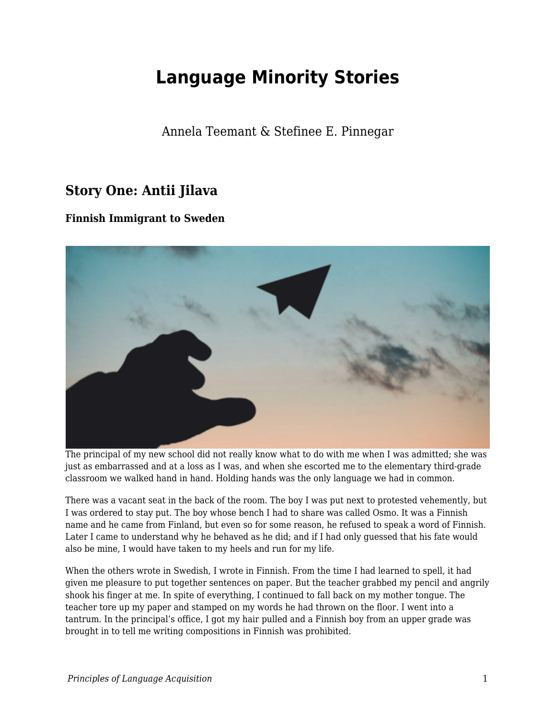# **Language Minority Stories**

Annela Teemant & Stefinee E. Pinnegar

## **Story One: Antii Jilava**

### **Finnish Immigrant to Sweden**



The principal of my new school did not really know what to do with me when I was admitted; she was just as embarrassed and at a loss as I was, and when she escorted me to the elementary third-grade classroom we walked hand in hand. Holding hands was the only language we had in common.

There was a vacant seat in the back of the room. The boy I was put next to protested vehemently, but I was ordered to stay put. The boy whose bench I had to share was called Osmo. It was a Finnish name and he came from Finland, but even so for some reason, he refused to speak a word of Finnish. Later I came to understand why he behaved as he did; and if I had only guessed that his fate would also be mine, I would have taken to my heels and run for my life.

When the others wrote in Swedish, I wrote in Finnish. From the time I had learned to spell, it had given me pleasure to put together sentences on paper. But the teacher grabbed my pencil and angrily shook his finger at me. In spite of everything, I continued to fall back on my mother tongue. The teacher tore up my paper and stamped on my words he had thrown on the floor. I went into a tantrum. In the principal's office, I got my hair pulled and a Finnish boy from an upper grade was brought in to tell me writing compositions in Finnish was prohibited.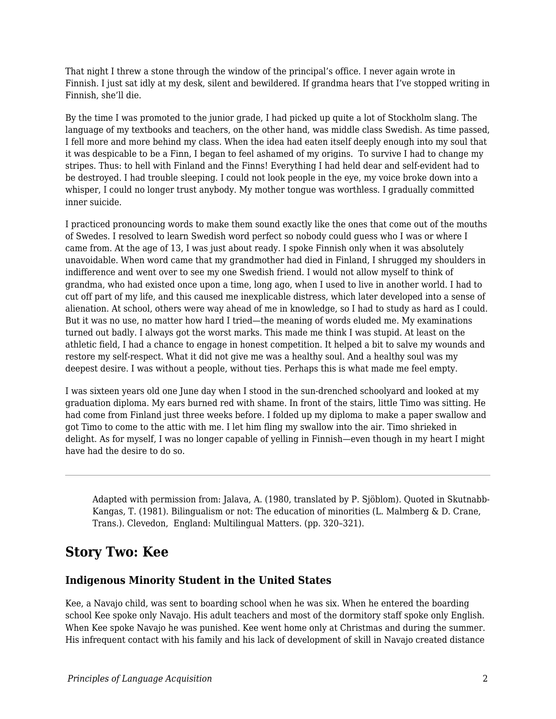That night I threw a stone through the window of the principal's office. I never again wrote in Finnish. I just sat idly at my desk, silent and bewildered. If grandma hears that I've stopped writing in Finnish, she'll die.

By the time I was promoted to the junior grade, I had picked up quite a lot of Stockholm slang. The language of my textbooks and teachers, on the other hand, was middle class Swedish. As time passed, I fell more and more behind my class. When the idea had eaten itself deeply enough into my soul that it was despicable to be a Finn, I began to feel ashamed of my origins. To survive I had to change my stripes. Thus: to hell with Finland and the Finns! Everything I had held dear and self-evident had to be destroyed. I had trouble sleeping. I could not look people in the eye, my voice broke down into a whisper, I could no longer trust anybody. My mother tongue was worthless. I gradually committed inner suicide.

I practiced pronouncing words to make them sound exactly like the ones that come out of the mouths of Swedes. I resolved to learn Swedish word perfect so nobody could guess who I was or where I came from. At the age of 13, I was just about ready. I spoke Finnish only when it was absolutely unavoidable. When word came that my grandmother had died in Finland, I shrugged my shoulders in indifference and went over to see my one Swedish friend. I would not allow myself to think of grandma, who had existed once upon a time, long ago, when I used to live in another world. I had to cut off part of my life, and this caused me inexplicable distress, which later developed into a sense of alienation. At school, others were way ahead of me in knowledge, so I had to study as hard as I could. But it was no use, no matter how hard I tried—the meaning of words eluded me. My examinations turned out badly. I always got the worst marks. This made me think I was stupid. At least on the athletic field, I had a chance to engage in honest competition. It helped a bit to salve my wounds and restore my self-respect. What it did not give me was a healthy soul. And a healthy soul was my deepest desire. I was without a people, without ties. Perhaps this is what made me feel empty.

I was sixteen years old one June day when I stood in the sun-drenched schoolyard and looked at my graduation diploma. My ears burned red with shame. In front of the stairs, little Timo was sitting. He had come from Finland just three weeks before. I folded up my diploma to make a paper swallow and got Timo to come to the attic with me. I let him fling my swallow into the air. Timo shrieked in delight. As for myself, I was no longer capable of yelling in Finnish—even though in my heart I might have had the desire to do so.

Adapted with permission from: Jalava, A. (1980, translated by P. Sjöblom). Quoted in Skutnabb-Kangas, T. (1981). Bilingualism or not: The education of minorities (L. Malmberg & D. Crane, Trans.). Clevedon, England: Multilingual Matters. (pp. 320–321).

### **Story Two: Kee**

### **Indigenous Minority Student in the United States**

Kee, a Navajo child, was sent to boarding school when he was six. When he entered the boarding school Kee spoke only Navajo. His adult teachers and most of the dormitory staff spoke only English. When Kee spoke Navajo he was punished. Kee went home only at Christmas and during the summer. His infrequent contact with his family and his lack of development of skill in Navajo created distance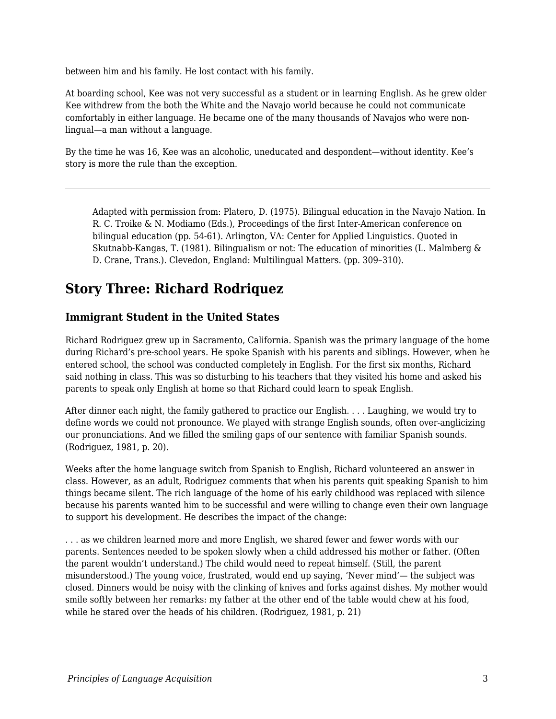between him and his family. He lost contact with his family.

At boarding school, Kee was not very successful as a student or in learning English. As he grew older Kee withdrew from the both the White and the Navajo world because he could not communicate comfortably in either language. He became one of the many thousands of Navajos who were nonlingual—a man without a language.

By the time he was 16, Kee was an alcoholic, uneducated and despondent—without identity. Kee's story is more the rule than the exception.

Adapted with permission from: Platero, D. (1975). Bilingual education in the Navajo Nation. In R. C. Troike & N. Modiamo (Eds.), Proceedings of the first Inter-American conference on bilingual education (pp. 54-61). Arlington, VA: Center for Applied Linguistics. Quoted in Skutnabb-Kangas, T. (1981). Bilingualism or not: The education of minorities (L. Malmberg & D. Crane, Trans.). Clevedon, England: Multilingual Matters. (pp. 309–310).

### **Story Three: Richard Rodriquez**

#### **Immigrant Student in the United States**

Richard Rodriguez grew up in Sacramento, California. Spanish was the primary language of the home during Richard's pre-school years. He spoke Spanish with his parents and siblings. However, when he entered school, the school was conducted completely in English. For the first six months, Richard said nothing in class. This was so disturbing to his teachers that they visited his home and asked his parents to speak only English at home so that Richard could learn to speak English.

After dinner each night, the family gathered to practice our English. . . . Laughing, we would try to define words we could not pronounce. We played with strange English sounds, often over-anglicizing our pronunciations. And we filled the smiling gaps of our sentence with familiar Spanish sounds. (Rodriguez, 1981, p. 20).

Weeks after the home language switch from Spanish to English, Richard volunteered an answer in class. However, as an adult, Rodriguez comments that when his parents quit speaking Spanish to him things became silent. The rich language of the home of his early childhood was replaced with silence because his parents wanted him to be successful and were willing to change even their own language to support his development. He describes the impact of the change:

. . . as we children learned more and more English, we shared fewer and fewer words with our parents. Sentences needed to be spoken slowly when a child addressed his mother or father. (Often the parent wouldn't understand.) The child would need to repeat himself. (Still, the parent misunderstood.) The young voice, frustrated, would end up saying, 'Never mind'— the subject was closed. Dinners would be noisy with the clinking of knives and forks against dishes. My mother would smile softly between her remarks: my father at the other end of the table would chew at his food, while he stared over the heads of his children. (Rodriguez, 1981, p. 21)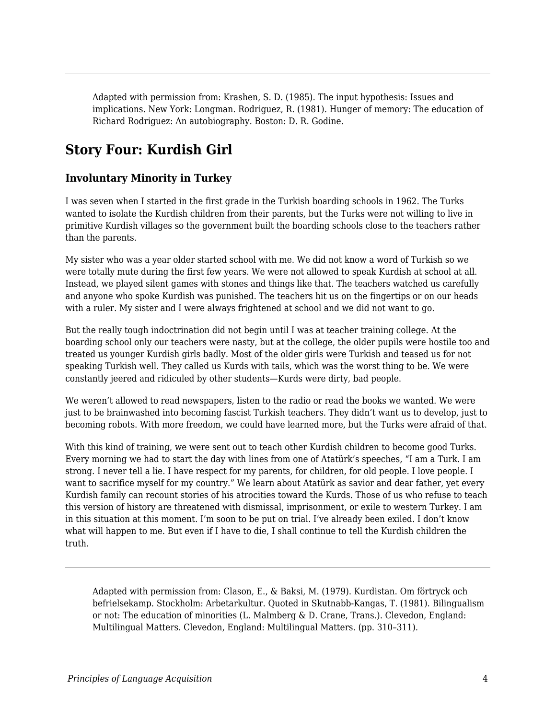Adapted with permission from: Krashen, S. D. (1985). The input hypothesis: Issues and implications. New York: Longman. Rodriguez, R. (1981). Hunger of memory: The education of Richard Rodriguez: An autobiography. Boston: D. R. Godine.

# **Story Four: Kurdish Girl**

### **Involuntary Minority in Turkey**

I was seven when I started in the first grade in the Turkish boarding schools in 1962. The Turks wanted to isolate the Kurdish children from their parents, but the Turks were not willing to live in primitive Kurdish villages so the government built the boarding schools close to the teachers rather than the parents.

My sister who was a year older started school with me. We did not know a word of Turkish so we were totally mute during the first few years. We were not allowed to speak Kurdish at school at all. Instead, we played silent games with stones and things like that. The teachers watched us carefully and anyone who spoke Kurdish was punished. The teachers hit us on the fingertips or on our heads with a ruler. My sister and I were always frightened at school and we did not want to go.

But the really tough indoctrination did not begin until I was at teacher training college. At the boarding school only our teachers were nasty, but at the college, the older pupils were hostile too and treated us younger Kurdish girls badly. Most of the older girls were Turkish and teased us for not speaking Turkish well. They called us Kurds with tails, which was the worst thing to be. We were constantly jeered and ridiculed by other students—Kurds were dirty, bad people.

We weren't allowed to read newspapers, listen to the radio or read the books we wanted. We were just to be brainwashed into becoming fascist Turkish teachers. They didn't want us to develop, just to becoming robots. With more freedom, we could have learned more, but the Turks were afraid of that.

With this kind of training, we were sent out to teach other Kurdish children to become good Turks. Every morning we had to start the day with lines from one of Atatürk's speeches, "I am a Turk. I am strong. I never tell a lie. I have respect for my parents, for children, for old people. I love people. I want to sacrifice myself for my country." We learn about Atatürk as savior and dear father, yet every Kurdish family can recount stories of his atrocities toward the Kurds. Those of us who refuse to teach this version of history are threatened with dismissal, imprisonment, or exile to western Turkey. I am in this situation at this moment. I'm soon to be put on trial. I've already been exiled. I don't know what will happen to me. But even if I have to die, I shall continue to tell the Kurdish children the truth.

Adapted with permission from: Clason, E., & Baksi, M. (1979). Kurdistan. Om förtryck och befrielsekamp. Stockholm: Arbetarkultur. Quoted in Skutnabb-Kangas, T. (1981). Bilingualism or not: The education of minorities (L. Malmberg & D. Crane, Trans.). Clevedon, England: Multilingual Matters. Clevedon, England: Multilingual Matters. (pp. 310–311).